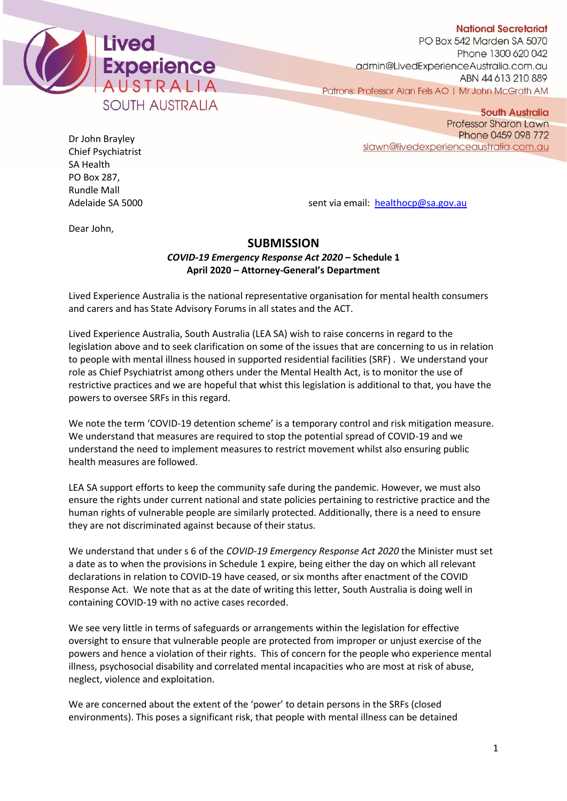

**National Secretariat** 

**South Australia** 

PO Box 542 Marden SA 5070 Phone 1300 620 042 admin@LivedExperienceAustralia.com.au ABN 44 613 210 889 Patrons: Professor Alan Fels AO | Mr John McGrath AM

Dr John Brayley Chief Psychiatrist SA Health PO Box 287, Rundle Mall

**Professor Sharon Lawn** Phone 0459 098 772 slawn@livedexperienceaustralia.com.au

Adelaide SA 5000 sent via email: [healthocp@sa.gov.au](mailto:healthocp@sa.gov.au)

Dear John,

## **SUBMISSION**

*COVID-19 Emergency Response Act 2020* **– Schedule 1 April 2020 – Attorney-General's Department**

Lived Experience Australia is the national representative organisation for mental health consumers and carers and has State Advisory Forums in all states and the ACT.

Lived Experience Australia, South Australia (LEA SA) wish to raise concerns in regard to the legislation above and to seek clarification on some of the issues that are concerning to us in relation to people with mental illness housed in supported residential facilities (SRF) . We understand your role as Chief Psychiatrist among others under the Mental Health Act, is to monitor the use of restrictive practices and we are hopeful that whist this legislation is additional to that, you have the powers to oversee SRFs in this regard.

We note the term 'COVID-19 detention scheme' is a temporary control and risk mitigation measure. We understand that measures are required to stop the potential spread of COVID-19 and we understand the need to implement measures to restrict movement whilst also ensuring public health measures are followed.

LEA SA support efforts to keep the community safe during the pandemic. However, we must also ensure the rights under current national and state policies pertaining to restrictive practice and the human rights of vulnerable people are similarly protected. Additionally, there is a need to ensure they are not discriminated against because of their status.

We understand that under s 6 of the *COVID-19 Emergency Response Act 2020* the Minister must set a date as to when the provisions in Schedule 1 expire, being either the day on which all relevant declarations in relation to COVID-19 have ceased, or six months after enactment of the COVID Response Act. We note that as at the date of writing this letter, South Australia is doing well in containing COVID-19 with no active cases recorded.

We see very little in terms of safeguards or arrangements within the legislation for effective oversight to ensure that vulnerable people are protected from improper or unjust exercise of the powers and hence a violation of their rights. This of concern for the people who experience mental illness, psychosocial disability and correlated mental incapacities who are most at risk of abuse, neglect, violence and exploitation.

We are concerned about the extent of the 'power' to detain persons in the SRFs (closed environments). This poses a significant risk, that people with mental illness can be detained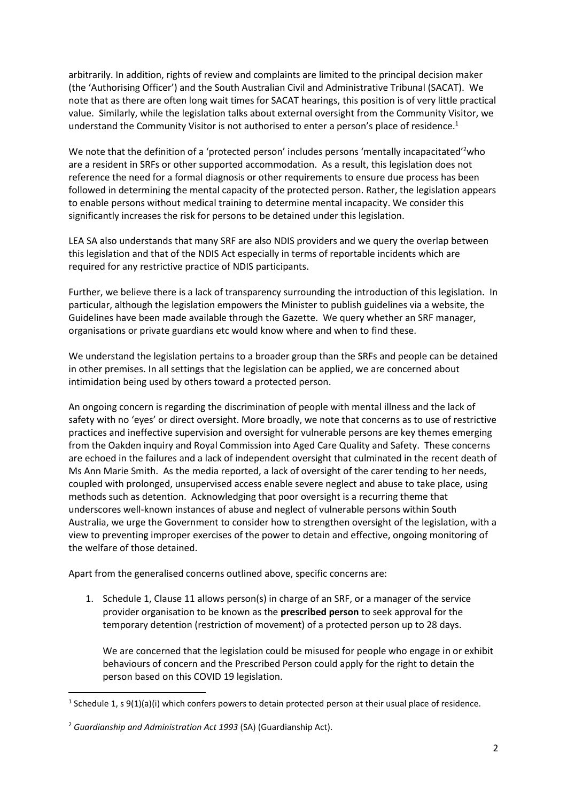arbitrarily. In addition, rights of review and complaints are limited to the principal decision maker (the 'Authorising Officer') and the South Australian Civil and Administrative Tribunal (SACAT). We note that as there are often long wait times for SACAT hearings, this position is of very little practical value. Similarly, while the legislation talks about external oversight from the Community Visitor, we understand the Community Visitor is not authorised to enter a person's place of residence.<sup>1</sup>

We note that the definition of a 'protected person' includes persons 'mentally incapacitated'<sup>2</sup>who are a resident in SRFs or other supported accommodation. As a result, this legislation does not reference the need for a formal diagnosis or other requirements to ensure due process has been followed in determining the mental capacity of the protected person. Rather, the legislation appears to enable persons without medical training to determine mental incapacity. We consider this significantly increases the risk for persons to be detained under this legislation.

LEA SA also understands that many SRF are also NDIS providers and we query the overlap between this legislation and that of the NDIS Act especially in terms of reportable incidents which are required for any restrictive practice of NDIS participants.

Further, we believe there is a lack of transparency surrounding the introduction of this legislation. In particular, although the legislation empowers the Minister to publish guidelines via a website, the Guidelines have been made available through the Gazette. We query whether an SRF manager, organisations or private guardians etc would know where and when to find these.

We understand the legislation pertains to a broader group than the SRFs and people can be detained in other premises. In all settings that the legislation can be applied, we are concerned about intimidation being used by others toward a protected person.

An ongoing concern is regarding the discrimination of people with mental illness and the lack of safety with no 'eyes' or direct oversight. More broadly, we note that concerns as to use of restrictive practices and ineffective supervision and oversight for vulnerable persons are key themes emerging from the Oakden inquiry and Royal Commission into Aged Care Quality and Safety. These concerns are echoed in the failures and a lack of independent oversight that culminated in the recent death of Ms Ann Marie Smith. As the media reported, a lack of oversight of the carer tending to her needs, coupled with prolonged, unsupervised access enable severe neglect and abuse to take place, using methods such as detention. Acknowledging that poor oversight is a recurring theme that underscores well-known instances of abuse and neglect of vulnerable persons within South Australia, we urge the Government to consider how to strengthen oversight of the legislation, with a view to preventing improper exercises of the power to detain and effective, ongoing monitoring of the welfare of those detained.

Apart from the generalised concerns outlined above, specific concerns are:

1. Schedule 1, Clause 11 allows person(s) in charge of an SRF, or a manager of the service provider organisation to be known as the **prescribed person** to seek approval for the temporary detention (restriction of movement) of a protected person up to 28 days.

We are concerned that the legislation could be misused for people who engage in or exhibit behaviours of concern and the Prescribed Person could apply for the right to detain the person based on this COVID 19 legislation.

<sup>&</sup>lt;sup>1</sup> Schedule 1, s 9(1)(a)(i) which confers powers to detain protected person at their usual place of residence.

<sup>2</sup> *Guardianship and Administration Act 1993* (SA) (Guardianship Act).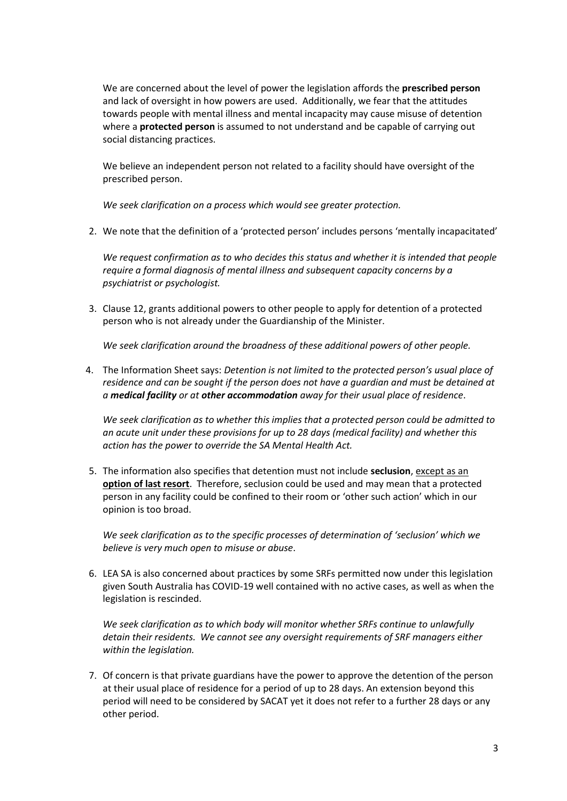We are concerned about the level of power the legislation affords the **prescribed person** and lack of oversight in how powers are used. Additionally, we fear that the attitudes towards people with mental illness and mental incapacity may cause misuse of detention where a **protected person** is assumed to not understand and be capable of carrying out social distancing practices.

We believe an independent person not related to a facility should have oversight of the prescribed person.

*We seek clarification on a process which would see greater protection.*

2. We note that the definition of a 'protected person' includes persons 'mentally incapacitated'

*We request confirmation as to who decides this status and whether it is intended that people require a formal diagnosis of mental illness and subsequent capacity concerns by a psychiatrist or psychologist.* 

3. Clause 12, grants additional powers to other people to apply for detention of a protected person who is not already under the Guardianship of the Minister.

*We seek clarification around the broadness of these additional powers of other people.*

4. The Information Sheet says: *Detention is not limited to the protected person's usual place of residence and can be sought if the person does not have a guardian and must be detained at a medical facility or at other accommodation away for their usual place of residence*.

*We seek clarification as to whether this implies that a protected person could be admitted to an acute unit under these provisions for up to 28 days (medical facility) and whether this action has the power to override the SA Mental Health Act.*

5. The information also specifies that detention must not include **seclusion**, except as an **option of last resort**. Therefore, seclusion could be used and may mean that a protected person in any facility could be confined to their room or 'other such action' which in our opinion is too broad.

*We seek clarification as to the specific processes of determination of 'seclusion' which we believe is very much open to misuse or abuse*.

6. LEA SA is also concerned about practices by some SRFs permitted now under this legislation given South Australia has COVID-19 well contained with no active cases, as well as when the legislation is rescinded.

*We seek clarification as to which body will monitor whether SRFs continue to unlawfully detain their residents. We cannot see any oversight requirements of SRF managers either within the legislation.* 

7. Of concern is that private guardians have the power to approve the detention of the person at their usual place of residence for a period of up to 28 days. An extension beyond this period will need to be considered by SACAT yet it does not refer to a further 28 days or any other period.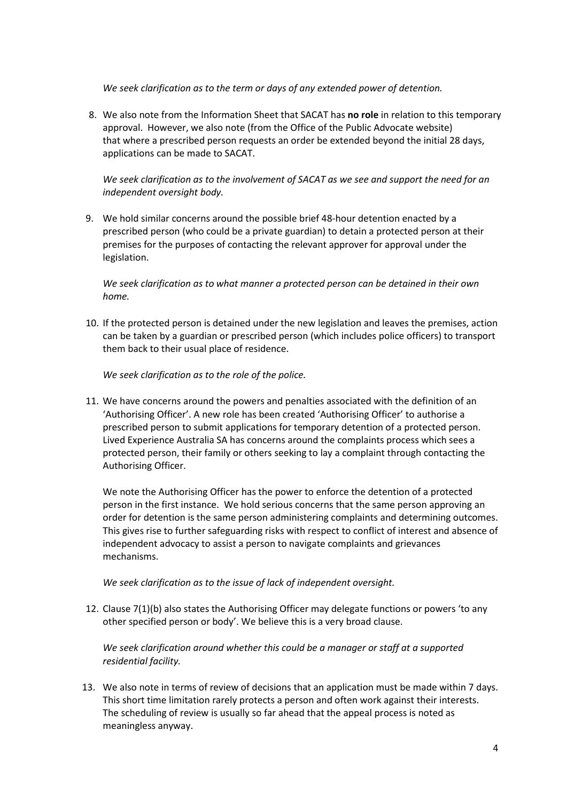*We seek clarification as to the term or days of any extended power of detention.*

8. We also note from the Information Sheet that SACAT has **no role** in relation to this temporary approval. However, we also note (from the Office of the Public Advocate website) that where a prescribed person requests an order be extended beyond the initial 28 days, applications can be made to SACAT.

*We seek clarification as to the involvement of SACAT as we see and support the need for an independent oversight body.*

9. We hold similar concerns around the possible brief 48-hour detention enacted by a prescribed person (who could be a private guardian) to detain a protected person at their premises for the purposes of contacting the relevant approver for approval under the legislation.

*We seek clarification as to what manner a protected person can be detained in their own home.*

10. If the protected person is detained under the new legislation and leaves the premises, action can be taken by a guardian or prescribed person (which includes police officers) to transport them back to their usual place of residence.

*We seek clarification as to the role of the police.*

11. We have concerns around the powers and penalties associated with the definition of an 'Authorising Officer'. A new role has been created 'Authorising Officer' to authorise a prescribed person to submit applications for temporary detention of a protected person. Lived Experience Australia SA has concerns around the complaints process which sees a protected person, their family or others seeking to lay a complaint through contacting the Authorising Officer.

We note the Authorising Officer has the power to enforce the detention of a protected person in the first instance. We hold serious concerns that the same person approving an order for detention is the same person administering complaints and determining outcomes. This gives rise to further safeguarding risks with respect to conflict of interest and absence of independent advocacy to assist a person to navigate complaints and grievances mechanisms.

*We seek clarification as to the issue of lack of independent oversight.* 

12. Clause 7(1)(b) also states the Authorising Officer may delegate functions or powers 'to any other specified person or body'. We believe this is a very broad clause.

*We seek clarification around whether this could be a manager or staff at a supported residential facility.*

13. We also note in terms of review of decisions that an application must be made within 7 days. This short time limitation rarely protects a person and often work against their interests. The scheduling of review is usually so far ahead that the appeal process is noted as meaningless anyway.